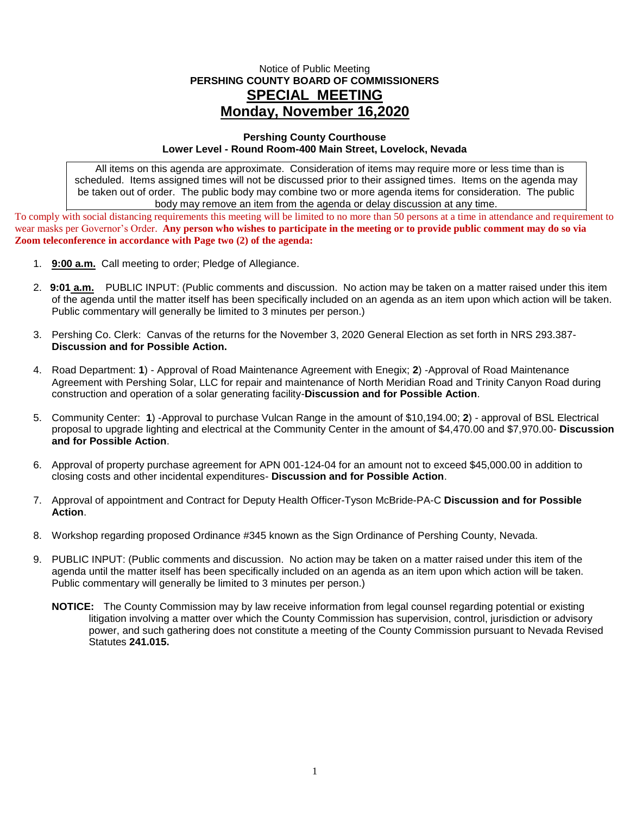## Notice of Public Meeting **PERSHING COUNTY BOARD OF COMMISSIONERS SPECIAL MEETING Monday, November 16,2020**

## **Pershing County Courthouse Lower Level - Round Room-400 Main Street, Lovelock, Nevada**

All items on this agenda are approximate. Consideration of items may require more or less time than is scheduled. Items assigned times will not be discussed prior to their assigned times. Items on the agenda may be taken out of order. The public body may combine two or more agenda items for consideration. The public body may remove an item from the agenda or delay discussion at any time.

To comply with social distancing requirements this meeting will be limited to no more than 50 persons at a time in attendance and requirement to wear masks per Governor's Order. **Any person who wishes to participate in the meeting or to provide public comment may do so via Zoom teleconference in accordance with Page two (2) of the agenda:** 

- 1. **9:00 a.m.** Call meeting to order; Pledge of Allegiance.
- 2. **9:01 a.m.** PUBLIC INPUT: (Public comments and discussion. No action may be taken on a matter raised under this item of the agenda until the matter itself has been specifically included on an agenda as an item upon which action will be taken. Public commentary will generally be limited to 3 minutes per person.)
- 3. Pershing Co. Clerk: Canvas of the returns for the November 3, 2020 General Election as set forth in NRS 293.387- **Discussion and for Possible Action.**
- 4. Road Department: **1**) Approval of Road Maintenance Agreement with Enegix; **2**) -Approval of Road Maintenance Agreement with Pershing Solar, LLC for repair and maintenance of North Meridian Road and Trinity Canyon Road during construction and operation of a solar generating facility-**Discussion and for Possible Action**.
- 5. Community Center: **1**) -Approval to purchase Vulcan Range in the amount of \$10,194.00; **2**) approval of BSL Electrical proposal to upgrade lighting and electrical at the Community Center in the amount of \$4,470.00 and \$7,970.00- **Discussion and for Possible Action**.
- 6. Approval of property purchase agreement for APN 001-124-04 for an amount not to exceed \$45,000.00 in addition to closing costs and other incidental expenditures- **Discussion and for Possible Action**.
- 7. Approval of appointment and Contract for Deputy Health Officer-Tyson McBride-PA-C **Discussion and for Possible Action**.
- 8. Workshop regarding proposed Ordinance #345 known as the Sign Ordinance of Pershing County, Nevada.
- 9. PUBLIC INPUT: (Public comments and discussion. No action may be taken on a matter raised under this item of the agenda until the matter itself has been specifically included on an agenda as an item upon which action will be taken. Public commentary will generally be limited to 3 minutes per person.)
	- **NOTICE:** The County Commission may by law receive information from legal counsel regarding potential or existing litigation involving a matter over which the County Commission has supervision, control, jurisdiction or advisory power, and such gathering does not constitute a meeting of the County Commission pursuant to Nevada Revised Statutes **241.015.**